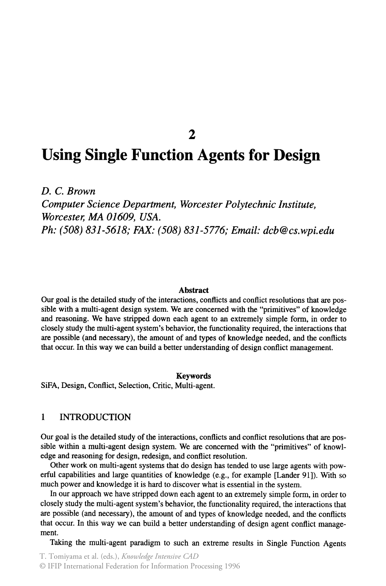# **Using Single Function Agents for Design**

*D.* C. *Brown Computer Science Department, Worcester Polytechnic Institute, Worcester, MA 01609, USA. Ph: (508) 831-5618; FAX: (508) 831-5776; Email: dcb@cs.wpi.edu* 

#### Abstract

Our goal is the detailed study of the interactions, conflicts and conflict resolutions that are possible with a multi-agent design system. We are concerned with the "primitives" of knowledge and reasoning. We have stripped down each agent to an extremely simple form, in order to closely study the multi-agent system's behavior, the functionality required, the interactions that are possible (and necessary), the amount of and types of knowledge needed, and the conflicts that occur. In this way we can build a better understanding of design conflict management.

#### Keywords

SiFA, Design, Conflict, Selection, Critic, Multi-agent.

#### 1 INTRODUCTION

Our goal is the detailed study of the interactions, conflicts and conflict resolutions that are possible within a multi-agent design system. We are concerned with the "primitives" of knowledge and reasoning for design, redesign, and conflict resolution.

Other work on multi-agent systems that do design has tended to use large agents with powerful capabilities and large quantities of knowledge (e.g., for example [Lander 91]). With so much power and knowledge it is hard to discover what is essential in the system.

In our approach we have stripped down each agent to an extremely simple form, in order to closely study the multi-agent system's behavior, the functionality required, the interactions that are possible (and necessary), the amount of and types of knowledge needed, and the conflicts that occur. In this way we can build a better understanding of design agent conflict management.

Taking the multi-agent paradigm to such an extreme results in Single Function Agents

2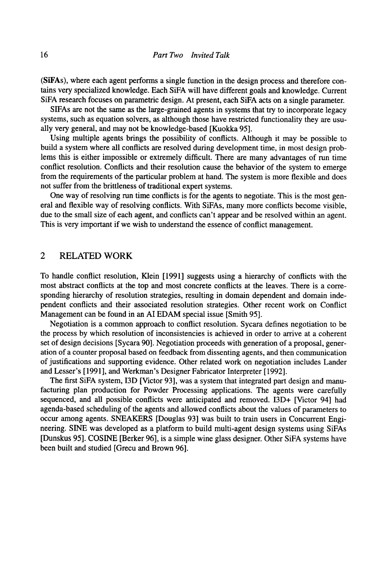(SiFAs), where each agent performs a single function in the design process and therefore contains very specialized knowledge. Each SiFA will have different goals and knowledge. Current SiFA research focuses on parametric design. At present, each SiFA acts on a single parameter.

SIFAs are not the same as the large-grained agents in systems that try to incorporate legacy systems, such as equation solvers, as although those have restricted functionality they are usually very general, and may not be knowledge-based [Kuokka 95].

Using multiple agents brings the possibility of conflicts. Although it may be possible to build a system where all conflicts are resolved during development time, in most design problems this is either impossible or extremely difficult. There are many advantages of run time conflict resolution. Conflicts and their resolution cause the behavior of the system to emerge from the requirements of the particular problem at hand. The system is more flexible and does not suffer from the brittleness of traditional expert systems.

One way of resolving run time conflicts is for the agents to negotiate. This is the most general and flexible way of resolving conflicts. With SiFAs, many more conflicts become visible, due to the small size of each agent, and conflicts can't appear and be resolved within an agent. This is very important if we wish to understand the essence of conflict management.

# 2 RELATED WORK

To handle conflict resolution, Klein [1991] suggests using a hierarchy of conflicts with the most abstract conflicts at the top and most concrete conflicts at the leaves. There is a corresponding hierarchy of resolution strategies, resulting in domain dependent and domain independent conflicts and their associated resolution strategies. Other recent work on Conflict Management can be found in an AI EDAM special issue [Smith 95].

Negotiation is a common approach to conflict resolution. Sycara defines negotiation to be the process by which resolution of inconsistencies is achieved in order to arrive at a coherent set of design decisions [Sycara 90]. Negotiation proceeds with generation of a proposal, generation of a counter proposal based on feedback from dissenting agents, and then communication of justifications and supporting evidence. Other related work on negotiation includes Lander and Lesser's [1991], and Werkman's Designer Fabricator Interpreter [1992].

The first SiFA system, 13D [Victor 93], was a system that integrated part design and manufacturing plan production for Powder Processing applications. The agents were carefully sequenced, and all possible conflicts were anticipated and removed. 13D+ [Victor 94] had agenda-based scheduling of the agents and allowed conflicts about the values of parameters to occur among agents. SNEAKERS [Douglas 93] was built to train users in Concurrent Engineering. SINE was developed as a platform to build multi-agent design systems using SiFAs [Dunskus 95]. COSINE [Berker 96], is a simple wine glass designer. Other SiFA systems have been built and studied [Grecu and Brown 96].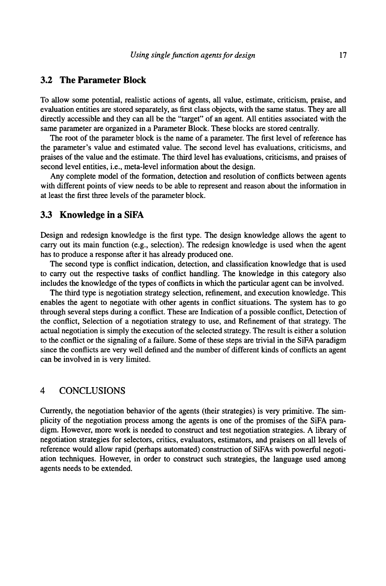# 3.2 **The Parameter Block**

To allow some potential, realistic actions of agents, all value, estimate, criticism, praise, and evaluation entities are stored separately, as first class objects, with the same status. They are all directly accessible and they can all be the "target" of an agent. All entities associated with the same parameter are organized in a Parameter Block. These blocks are stored centrally.

The root of the parameter block is the name of a parameter. The first level of reference has the parameter's value and estimated value. The second level has evaluations, criticisms, and praises of the value and the estimate. The third level has evaluations, criticisms, and praises of second level entities, i.e., meta-level information about the design.

Any complete model of the formation, detection and resolution of conflicts between agents with different points of view needs to be able to represent and reason about the information in at least the first three levels of the parameter block.

#### 3.3 **Knowledge in a SiFA**

Design and redesign knowledge is the first type. The design knowledge allows the agent to carry out its main function (e.g., selection). The redesign knowledge is used when the agent has to produce a response after it has already produced one.

The second type is conflict indication, detection, and classification knowledge that is used to carry out the respective tasks of conflict handling. The knowledge in this category also includes the knowledge of the types of conflicts in which the particular agent can be involved.

The third type is negotiation strategy selection, refinement, and execution knowledge. This enables the agent to negotiate with other agents in conflict situations. The system has to go through several steps during a conflict. These are Indication of a possible conflict, Detection of the conflict, Selection of a negotiation strategy to use, and Refinement of that strategy. The actual negotiation is simply the execution of the selected strategy. The result is either a solution to the conflict or the signaling of a failure. Some of these steps are trivial in the SiFA paradigm since the conflicts are very well defined and the number of different kinds of conflicts an agent can be involved in is very limited.

## 4 CONCLUSIONS

Currently, the negotiation behavior of the agents (their strategies) is very primitive. The simplicity of the negotiation process among the agents is one of the promises of the SiFA paradigm. However, more work is needed to construct and test negotiation strategies. A library of negotiation strategies for selectors, critics, evaluators, estimators, and praisers on all levels of reference would allow rapid (perhaps automated) construction of SiFAs with powerful negotiation techniques. However, in order to construct such strategies, the language used among agents needs to be extended.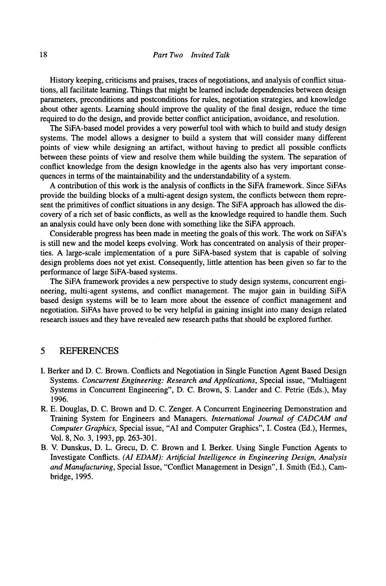History keeping, criticisms and praises, traces of negotiations, and analysis of conflict situations, all facilitate learning. Things that might be learned include dependencies between design parameters, preconditions and postconditions for rules, negotiation strategies, and knowledge about other agents. Learning should improve the quality of the final design, reduce the time required to do the design, and provide better conflict anticipation, avoidance, and resolution.

The SiFA-based model provides a very powerful tool with which to build and study design systems. The model allows a designer to build a system that will consider many different points of view while designing an artifact, without having to predict all possible conflicts between these points of view and resolve them while building the system. The separation of conflict knowledge from the design knowledge in the agents also has very important consequences in terms of the maintainability and the understandability of a system.

A contribution of this work is the analysis of conflicts in the SiFA framework. Since SiFAs provide the building blocks of a multi-agent design system, the conflicts between them represent the primitives of conflict situations in any design. The SiFA approach has allowed the discovery of a rich set of basic conflicts, as well as the knowledge required to handle them. Such an analysis could have only been done with something like the SiFA approach.

Considerable progress has been made in meeting the goals of this work. The work on SiFA's is still new and the model keeps evolving. Work has concentrated on analysis of their properties. A large-scale implementation of a pure SiFA-based system that is capable of solving design problems does not yet exist. Consequently, little attention has been given so far to the performance of large SiFA-based systems.

The SiFA framework provides a new perspective to study design systems, concurrent engineering, multi-agent systems, and conflict management. The major gain in building SiFA based design systems will be to learn more about the essence of conflict management and negotiation. SiFAs have proved to be very helpful in gaining insight into many design related research issues and they have revealed new research paths that should be explored further.

# 5 REFERENCES

- I. Berker and D. C. Brown. Conflicts and Negotiation in Single Function Agent Based Design Systems. *Concurrent Engineering: Research and Applications,* Special issue, "Multiagent Systems in Concurrent Engineering", D. C. Brown, S. Lander and C. Petrie (Eds.), May 1996.
- R. E. Douglas, D. C. Brown and D. C. Zenger. A Concurrent Engineering Demonstration and Training System for Engineers and Managers. *International Journal of CADCAM and Computer Graphics,* Special issue, "AI and Computer Graphics", I. Costea (Ed.), Hermes, Vol. 8, No. 3, 1993, pp. 263-301.
- B. V. Dunskus, D. L. Grecu, D. C. Brown and I. Berker. Using Single Function Agents to Investigate Conflicts. *(AI EDAM): Artificial Intelligence in Engineering Design, Analysis and Manufacturing,* Special Issue, "Conflict Management in Design", I. Smith (Ed.), Cambridge, 1995.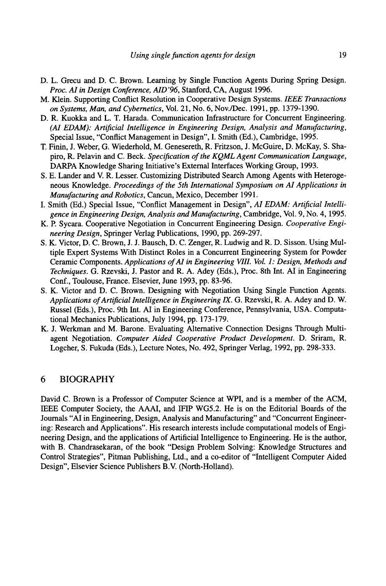- D. L. Grecu and D. C. Brown. Learning by Single Function Agents During Spring Design. *Proc. AI in Design Conference, AID'96,* Stanford, CA, August 1996.
- M. Klein. Supporting Conflict Resolution in Cooperative Design Systems. *IEEE Transactions on Systems, Man, and Cybernetics,* Vol. 21, No.6, Nov./Dec. 1991, pp. 1379-1390.
- D. R. Kuokka and L. T. Harada. Communication Infrastructure for Concurrent Engineering. *(AI EDAM): Artificial Intelligence in Engineering Design, Analysis and Manufacturing,*  Special Issue, "Conflict Management in Design", I. Smith (Ed.), Cambridge, 1995.
- T. Finin, J. Weber, G. Wiederhold, M. Genesereth, R. Fritzson, J. McGuire, D. McKay, S. Shapiro, R. Pelavin and C. Beck. *Specification of the KQMLAgent Communication Language,*  DARPA Knowledge Sharing Initiative's External Interfaces Working Group, 1993.
- S. E. Lander and V. R. Lesser. Customizing Distributed Search Among Agents with Heterogeneous Knowledge. *Proceedings of the 5th International Symposium on AI Applications in Manufacturing and Robotics,* Cancun, Mexico, December 1991.
- I. Smith (Ed.) Special Issue, "Conflict Management in Design", *AI EDAM: Artificial Intelligence in Engineering Design, Analysis and Manufacturing,* Cambridge, Vol. 9, No. 4, 1995.
- K. P. Sycara. Cooperative Negotiation in Concurrent Engineering Design. *Cooperative Engineering Design,* Springer Verlag Publications, 1990, pp. 269-297.
- S. K. Victor, D. C. Brown, J. J. Bausch, D. C. Zenger, R. Ludwig and R. D. Sisson. Using Multiple Expert Systems With Distinct Roles in a Concurrent Engineering System for Powder Ceramic Components. *Applications of AI in Engineering VIII. Vol. 1: Design, Methods and Techniques.* G. Rzevski, J. Pastor and R. A. Adey (Eds.), Proc. 8th Int. AI in Engineering Conf., Toulouse, France. Elsevier, June 1993, pp. 83-96.
- S. K. Victor and D. C. Brown. Designing with Negotiation Using Single Function Agents. *Applications of Artificial Intelligence in Engineering IX.* G. Rzevski, R. A. Adey and D. W. Russel (Eds.), Proc. 9th Int. AI in Engineering Conference, Pennsylvania, USA. Computational Mechanics Publications, July 1994, pp. 173-179.
- K. J. Werkman and M. Barone. Evaluating Alternative Connection Designs Through Multiagent Negotiation. *Computer Aided Cooperative Product Development.* D. Sriram, R. Logcher, S. Fukuda (Eds.), Lecture Notes, No. 492, Springer Verlag, 1992, pp. 298-333.

## 6 BIOGRAPHY

David C. Brown is a Professor of Computer Science at WPI, and is a member of the ACM, IEEE Computer Society, the AAAI, and IFIP WG5.2. He is on the Editorial Boards of the Journals "AI in Engineering, Design, Analysis and Manufacturing" and "Concurrent Engineering: Research and Applications". His research interests include computational models of Engineering Design, and the applications of Artificial Intelligence to Engineering. He is the author, with B. Chandrasekaran, of the book "Design Problem Solving: Knowledge Structures and Control Strategies", Pitman Publishing, Ltd., and a co-editor of "Intelligent Computer Aided Design", Elsevier Science Publishers B.V. (North-Holland).